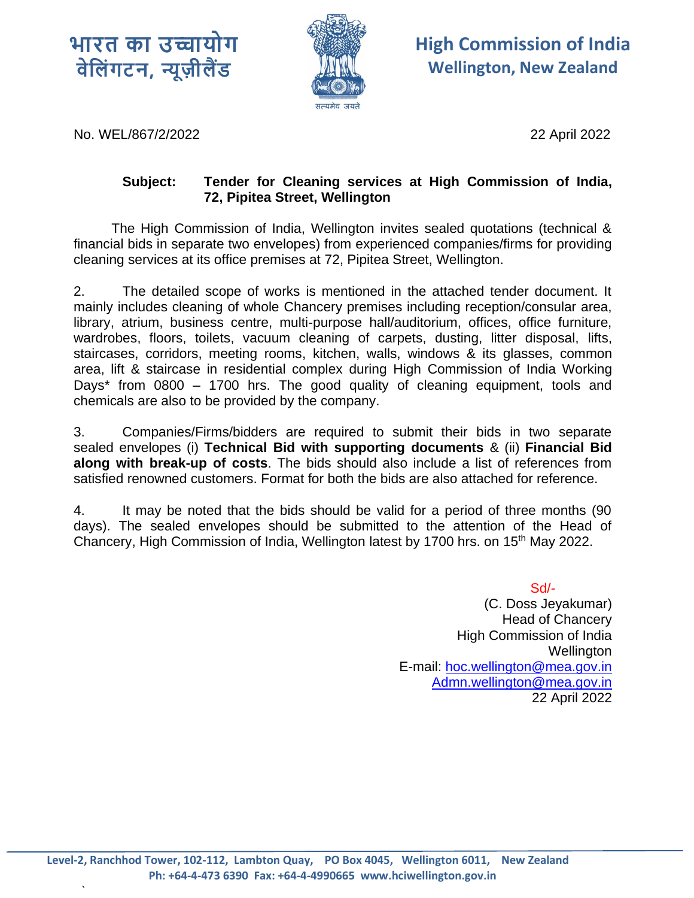



**High Commission of India Wellington, New Zealand**

No. WEL/867/2/2022 22 April 2022

`

## **Subject: Tender for Cleaning services at High Commission of India, 72, Pipitea Street, Wellington**

 The High Commission of India, Wellington invites sealed quotations (technical & financial bids in separate two envelopes) from experienced companies/firms for providing cleaning services at its office premises at 72, Pipitea Street, Wellington.

2. The detailed scope of works is mentioned in the attached tender document. It mainly includes cleaning of whole Chancery premises including reception/consular area, library, atrium, business centre, multi-purpose hall/auditorium, offices, office furniture, wardrobes, floors, toilets, vacuum cleaning of carpets, dusting, litter disposal, lifts, staircases, corridors, meeting rooms, kitchen, walls, windows & its glasses, common area, lift & staircase in residential complex during High Commission of India Working Days\* from 0800 – 1700 hrs. The good quality of cleaning equipment, tools and chemicals are also to be provided by the company.

3. Companies/Firms/bidders are required to submit their bids in two separate sealed envelopes (i) **Technical Bid with supporting documents** & (ii) **Financial Bid along with break-up of costs**. The bids should also include a list of references from satisfied renowned customers. Format for both the bids are also attached for reference.

4. It may be noted that the bids should be valid for a period of three months (90 days). The sealed envelopes should be submitted to the attention of the Head of Chancery, High Commission of India, Wellington latest by 1700 hrs. on 15<sup>th</sup> May 2022.

> Sd/- (C. Doss Jeyakumar) Head of Chancery High Commission of India Wellington E-mail: [hoc.wellington@mea.gov.in](mailto:hoc.wellington@mea.gov.in) Admn.wellington@mea.gov.in 22 April 2022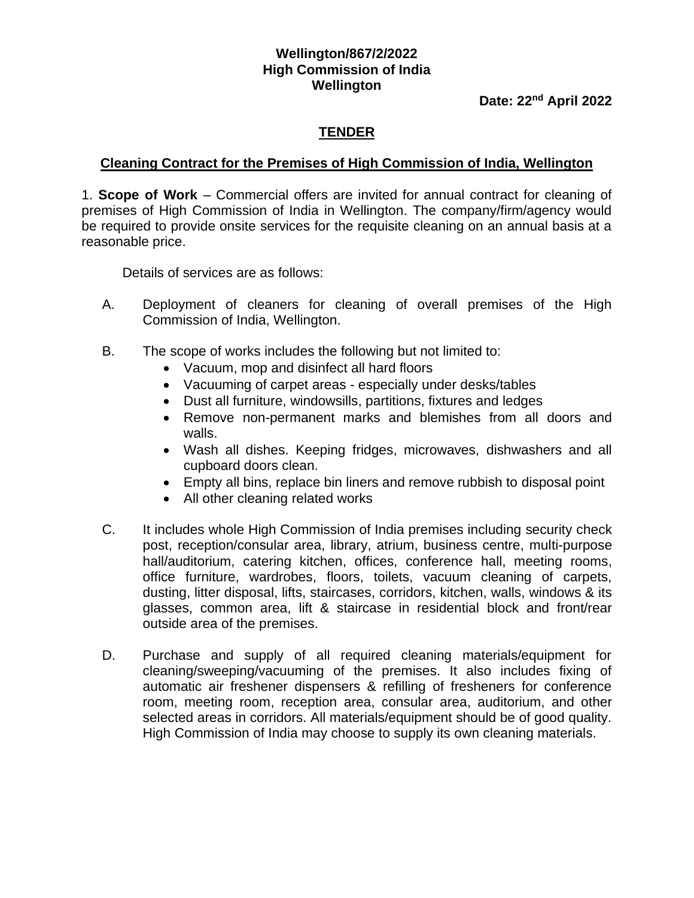## **Wellington/867/2/2022 High Commission of India Wellington**

**Date: 22nd April 2022**

## **TENDER**

## **Cleaning Contract for the Premises of High Commission of India, Wellington**

1. **Scope of Work** – Commercial offers are invited for annual contract for cleaning of premises of High Commission of India in Wellington. The company/firm/agency would be required to provide onsite services for the requisite cleaning on an annual basis at a reasonable price.

Details of services are as follows:

- A. Deployment of cleaners for cleaning of overall premises of the High Commission of India, Wellington.
- B. The scope of works includes the following but not limited to:
	- Vacuum, mop and disinfect all hard floors
	- Vacuuming of carpet areas especially under desks/tables
	- Dust all furniture, windowsills, partitions, fixtures and ledges
	- Remove non-permanent marks and blemishes from all doors and walls.
	- Wash all dishes. Keeping fridges, microwaves, dishwashers and all cupboard doors clean.
	- Empty all bins, replace bin liners and remove rubbish to disposal point
	- All other cleaning related works
- C. It includes whole High Commission of India premises including security check post, reception/consular area, library, atrium, business centre, multi-purpose hall/auditorium, catering kitchen, offices, conference hall, meeting rooms, office furniture, wardrobes, floors, toilets, vacuum cleaning of carpets, dusting, litter disposal, lifts, staircases, corridors, kitchen, walls, windows & its glasses, common area, lift & staircase in residential block and front/rear outside area of the premises.
- D. Purchase and supply of all required cleaning materials/equipment for cleaning/sweeping/vacuuming of the premises. It also includes fixing of automatic air freshener dispensers & refilling of fresheners for conference room, meeting room, reception area, consular area, auditorium, and other selected areas in corridors. All materials/equipment should be of good quality. High Commission of India may choose to supply its own cleaning materials.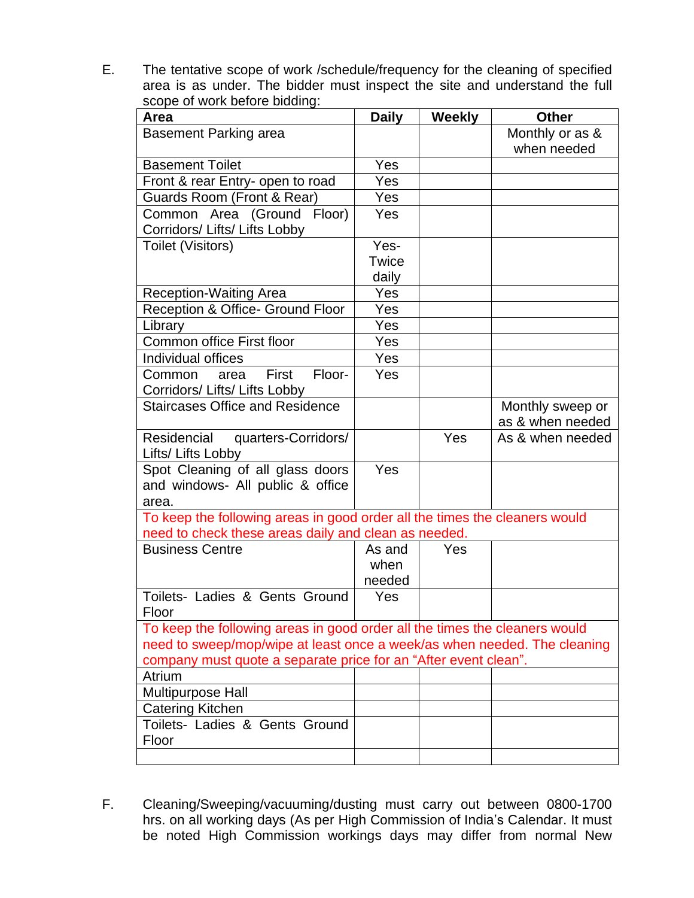E. The tentative scope of work /schedule/frequency for the cleaning of specified area is as under. The bidder must inspect the site and understand the full scope of work before bidding:

| Area                                                                                                                               | <b>Daily</b> | <b>Weekly</b> | <b>Other</b>     |  |  |  |
|------------------------------------------------------------------------------------------------------------------------------------|--------------|---------------|------------------|--|--|--|
| Basement Parking area                                                                                                              |              |               | Monthly or as &  |  |  |  |
|                                                                                                                                    |              |               | when needed      |  |  |  |
| <b>Basement Toilet</b>                                                                                                             | Yes          |               |                  |  |  |  |
| Front & rear Entry- open to road                                                                                                   | Yes          |               |                  |  |  |  |
| Guards Room (Front & Rear)                                                                                                         | Yes          |               |                  |  |  |  |
| Common Area (Ground Floor)                                                                                                         | Yes          |               |                  |  |  |  |
| Corridors/ Lifts/ Lifts Lobby                                                                                                      |              |               |                  |  |  |  |
| Toilet (Visitors)                                                                                                                  | Yes-         |               |                  |  |  |  |
|                                                                                                                                    | Twice        |               |                  |  |  |  |
|                                                                                                                                    | daily        |               |                  |  |  |  |
| <b>Reception-Waiting Area</b>                                                                                                      | Yes          |               |                  |  |  |  |
| Reception & Office- Ground Floor                                                                                                   | Yes          |               |                  |  |  |  |
| Library                                                                                                                            | Yes          |               |                  |  |  |  |
| Common office First floor                                                                                                          | Yes          |               |                  |  |  |  |
| Individual offices                                                                                                                 | Yes          |               |                  |  |  |  |
| Floor-<br>First<br>Common<br>area                                                                                                  | Yes          |               |                  |  |  |  |
| Corridors/ Lifts/ Lifts Lobby                                                                                                      |              |               |                  |  |  |  |
| <b>Staircases Office and Residence</b>                                                                                             |              |               | Monthly sweep or |  |  |  |
|                                                                                                                                    |              |               | as & when needed |  |  |  |
| Residencial<br>quarters-Corridors/                                                                                                 |              | Yes           | As & when needed |  |  |  |
| Lifts/ Lifts Lobby                                                                                                                 |              |               |                  |  |  |  |
| Spot Cleaning of all glass doors                                                                                                   | Yes          |               |                  |  |  |  |
| and windows- All public & office                                                                                                   |              |               |                  |  |  |  |
| area.                                                                                                                              |              |               |                  |  |  |  |
| To keep the following areas in good order all the times the cleaners would<br>need to check these areas daily and clean as needed. |              |               |                  |  |  |  |
| <b>Business Centre</b>                                                                                                             | As and       | Yes           |                  |  |  |  |
|                                                                                                                                    | when         |               |                  |  |  |  |
|                                                                                                                                    | needed       |               |                  |  |  |  |
| Toilets- Ladies & Gents Ground                                                                                                     | Yes          |               |                  |  |  |  |
| Floor                                                                                                                              |              |               |                  |  |  |  |
| To keep the following areas in good order all the times the cleaners would                                                         |              |               |                  |  |  |  |
| need to sweep/mop/wipe at least once a week/as when needed. The cleaning                                                           |              |               |                  |  |  |  |
| company must quote a separate price for an "After event clean".                                                                    |              |               |                  |  |  |  |
| Atrium                                                                                                                             |              |               |                  |  |  |  |
| <b>Multipurpose Hall</b>                                                                                                           |              |               |                  |  |  |  |
| <b>Catering Kitchen</b>                                                                                                            |              |               |                  |  |  |  |
| Toilets- Ladies & Gents Ground                                                                                                     |              |               |                  |  |  |  |
| Floor                                                                                                                              |              |               |                  |  |  |  |
|                                                                                                                                    |              |               |                  |  |  |  |

F. Cleaning/Sweeping/vacuuming/dusting must carry out between 0800-1700 hrs. on all working days (As per High Commission of India's Calendar. It must be noted High Commission workings days may differ from normal New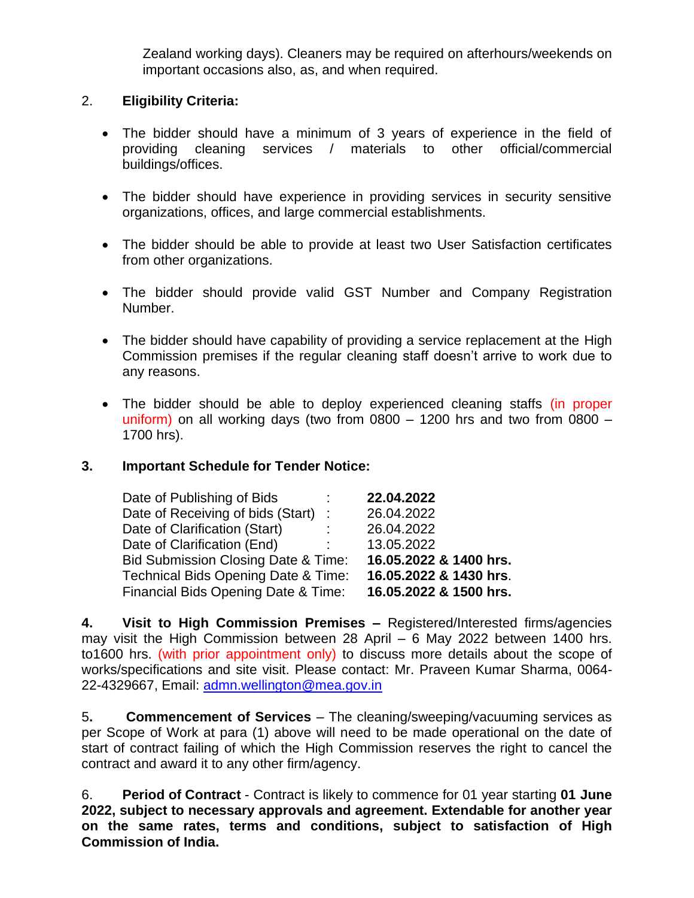Zealand working days). Cleaners may be required on afterhours/weekends on important occasions also, as, and when required.

## 2. **Eligibility Criteria:**

- The bidder should have a minimum of 3 years of experience in the field of providing cleaning services / materials to other official/commercial buildings/offices.
- The bidder should have experience in providing services in security sensitive organizations, offices, and large commercial establishments.
- The bidder should be able to provide at least two User Satisfaction certificates from other organizations.
- The bidder should provide valid GST Number and Company Registration Number.
- The bidder should have capability of providing a service replacement at the High Commission premises if the regular cleaning staff doesn't arrive to work due to any reasons.
- The bidder should be able to deploy experienced cleaning staffs (in proper uniform) on all working days (two from  $0800 - 1200$  hrs and two from  $0800 - 1200$ 1700 hrs).

## **3. Important Schedule for Tender Notice:**

| Date of Publishing of Bids                     |               | 22.04.2022             |
|------------------------------------------------|---------------|------------------------|
| Date of Receiving of bids (Start)              | $\mathcal{L}$ | 26.04.2022             |
| Date of Clarification (Start)                  |               | 26.04.2022             |
| Date of Clarification (End)                    |               | 13.05.2022             |
| <b>Bid Submission Closing Date &amp; Time:</b> |               | 16.05.2022 & 1400 hrs. |
| Technical Bids Opening Date & Time:            |               | 16.05.2022 & 1430 hrs. |
| Financial Bids Opening Date & Time:            |               | 16.05.2022 & 1500 hrs. |

**4. Visit to High Commission Premises –** Registered/Interested firms/agencies may visit the High Commission between 28 April – 6 May 2022 between 1400 hrs. to1600 hrs. (with prior appointment only) to discuss more details about the scope of works/specifications and site visit. Please contact: Mr. Praveen Kumar Sharma, 0064- 22-4329667, Email: [admn.wellington@mea.gov.in](mailto:admn.wellington@mea.gov.in)

5**. Commencement of Services** – The cleaning/sweeping/vacuuming services as per Scope of Work at para (1) above will need to be made operational on the date of start of contract failing of which the High Commission reserves the right to cancel the contract and award it to any other firm/agency.

6. **Period of Contract** - Contract is likely to commence for 01 year starting **01 June 2022, subject to necessary approvals and agreement. Extendable for another year on the same rates, terms and conditions, subject to satisfaction of High Commission of India.**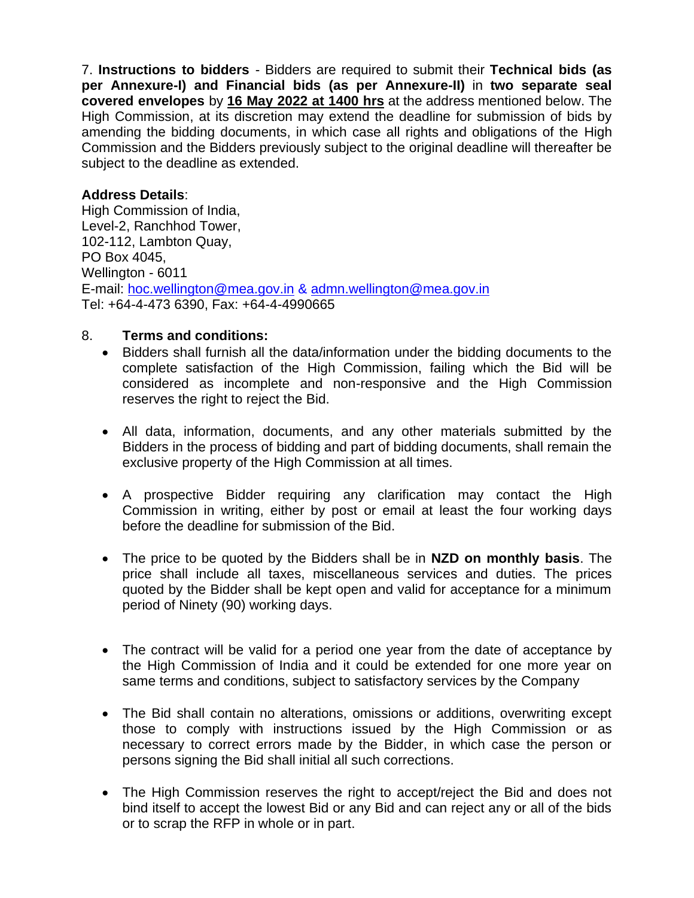7. **Instructions to bidders** - Bidders are required to submit their **Technical bids (as per Annexure-I) and Financial bids (as per Annexure-II)** in **two separate seal covered envelopes** by **16 May 2022 at 1400 hrs** at the address mentioned below. The High Commission, at its discretion may extend the deadline for submission of bids by amending the bidding documents, in which case all rights and obligations of the High Commission and the Bidders previously subject to the original deadline will thereafter be subject to the deadline as extended.

## **Address Details**:

High Commission of India, Level-2, Ranchhod Tower, 102-112, Lambton Quay, PO Box 4045, Wellington - 6011 E-mail: [hoc.wellington@mea.gov.in](mailto:hoc.wellington@mea.gov.in) & [admn.wellington@mea.gov.in](mailto:admn.wellington@mea.gov.in) Tel: +64-4-473 6390, Fax: +64-4-4990665

## 8. **Terms and conditions:**

- Bidders shall furnish all the data/information under the bidding documents to the complete satisfaction of the High Commission, failing which the Bid will be considered as incomplete and non-responsive and the High Commission reserves the right to reject the Bid.
- All data, information, documents, and any other materials submitted by the Bidders in the process of bidding and part of bidding documents, shall remain the exclusive property of the High Commission at all times.
- A prospective Bidder requiring any clarification may contact the High Commission in writing, either by post or email at least the four working days before the deadline for submission of the Bid.
- The price to be quoted by the Bidders shall be in **NZD on monthly basis**. The price shall include all taxes, miscellaneous services and duties. The prices quoted by the Bidder shall be kept open and valid for acceptance for a minimum period of Ninety (90) working days.
- The contract will be valid for a period one year from the date of acceptance by the High Commission of India and it could be extended for one more year on same terms and conditions, subject to satisfactory services by the Company
- The Bid shall contain no alterations, omissions or additions, overwriting except those to comply with instructions issued by the High Commission or as necessary to correct errors made by the Bidder, in which case the person or persons signing the Bid shall initial all such corrections.
- The High Commission reserves the right to accept/reject the Bid and does not bind itself to accept the lowest Bid or any Bid and can reject any or all of the bids or to scrap the RFP in whole or in part.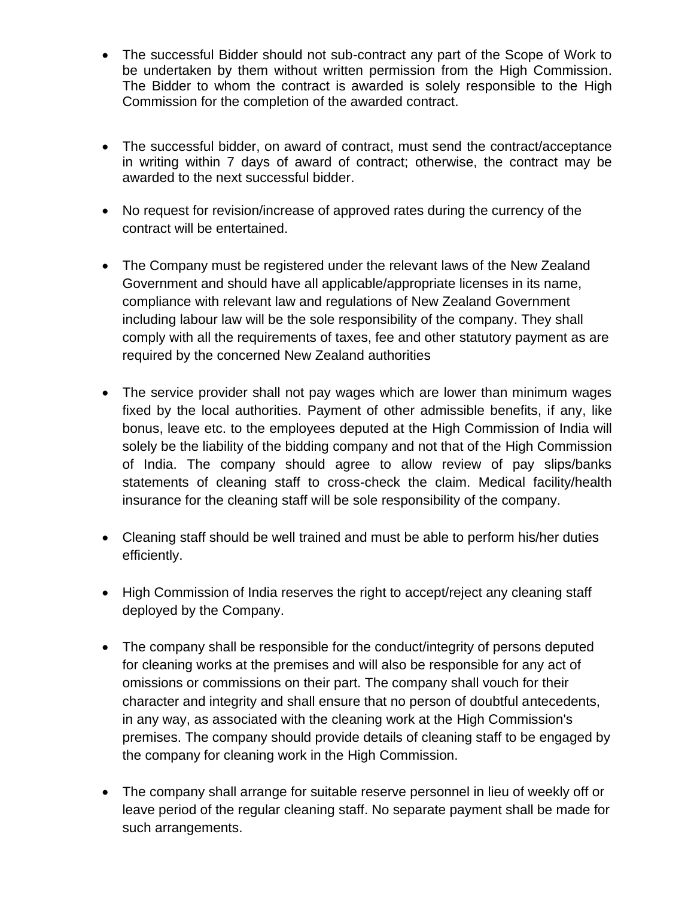- The successful Bidder should not sub-contract any part of the Scope of Work to be undertaken by them without written permission from the High Commission. The Bidder to whom the contract is awarded is solely responsible to the High Commission for the completion of the awarded contract.
- The successful bidder, on award of contract, must send the contract/acceptance in writing within 7 days of award of contract; otherwise, the contract may be awarded to the next successful bidder.
- No request for revision/increase of approved rates during the currency of the contract will be entertained.
- The Company must be registered under the relevant laws of the New Zealand Government and should have all applicable/appropriate licenses in its name, compliance with relevant law and regulations of New Zealand Government including labour law will be the sole responsibility of the company. They shall comply with all the requirements of taxes, fee and other statutory payment as are required by the concerned New Zealand authorities
- The service provider shall not pay wages which are lower than minimum wages fixed by the local authorities. Payment of other admissible benefits, if any, like bonus, leave etc. to the employees deputed at the High Commission of India will solely be the liability of the bidding company and not that of the High Commission of India. The company should agree to allow review of pay slips/banks statements of cleaning staff to cross-check the claim. Medical facility/health insurance for the cleaning staff will be sole responsibility of the company.
- Cleaning staff should be well trained and must be able to perform his/her duties efficiently.
- High Commission of India reserves the right to accept/reject any cleaning staff deployed by the Company.
- The company shall be responsible for the conduct/integrity of persons deputed for cleaning works at the premises and will also be responsible for any act of omissions or commissions on their part. The company shall vouch for their character and integrity and shall ensure that no person of doubtful antecedents, in any way, as associated with the cleaning work at the High Commission's premises. The company should provide details of cleaning staff to be engaged by the company for cleaning work in the High Commission.
- The company shall arrange for suitable reserve personnel in lieu of weekly off or leave period of the regular cleaning staff. No separate payment shall be made for such arrangements.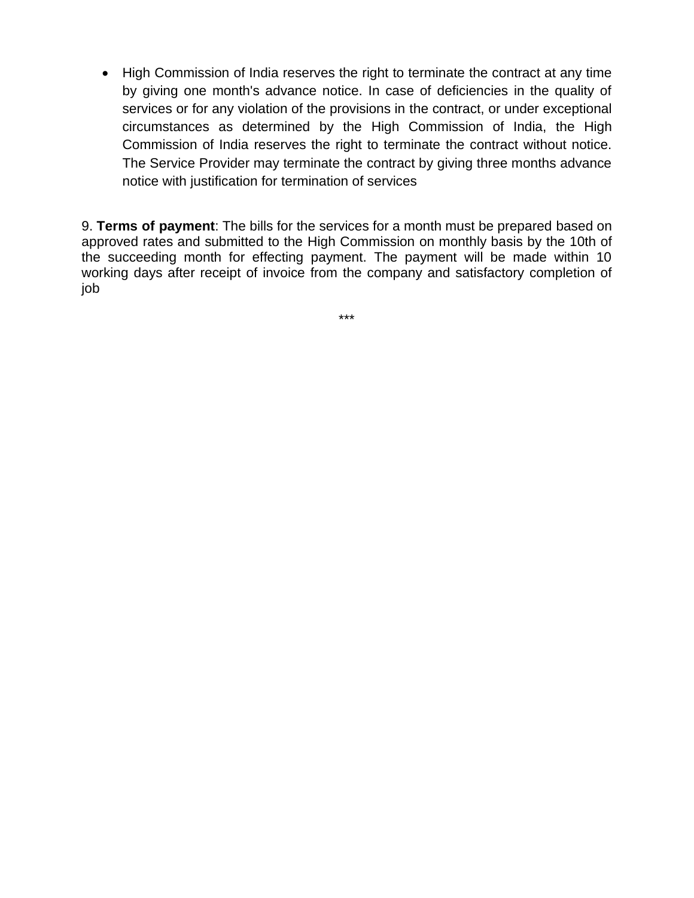• High Commission of India reserves the right to terminate the contract at any time by giving one month's advance notice. In case of deficiencies in the quality of services or for any violation of the provisions in the contract, or under exceptional circumstances as determined by the High Commission of India, the High Commission of India reserves the right to terminate the contract without notice. The Service Provider may terminate the contract by giving three months advance notice with justification for termination of services

9. **Terms of payment**: The bills for the services for a month must be prepared based on approved rates and submitted to the High Commission on monthly basis by the 10th of the succeeding month for effecting payment. The payment will be made within 10 working days after receipt of invoice from the company and satisfactory completion of job

\*\*\*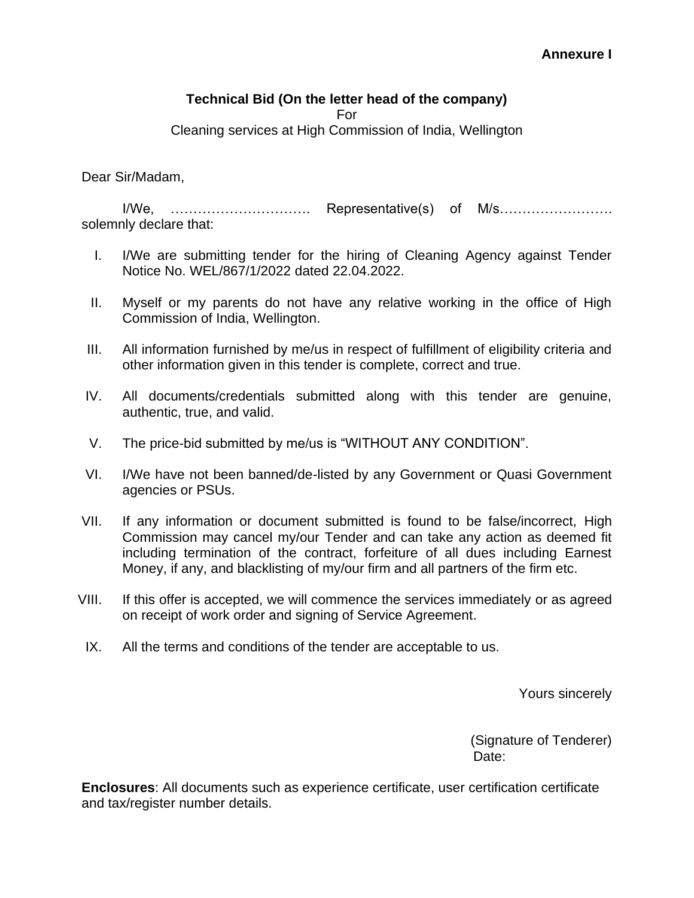## **Technical Bid (On the letter head of the company)**

For

Cleaning services at High Commission of India, Wellington

Dear Sir/Madam,

I/We, …………………………. Representative(s) of M/s……………………. solemnly declare that:

- I. I/We are submitting tender for the hiring of Cleaning Agency against Tender Notice No. WEL/867/1/2022 dated 22.04.2022.
- II. Myself or my parents do not have any relative working in the office of High Commission of India, Wellington.
- III. All information furnished by me/us in respect of fulfillment of eligibility criteria and other information given in this tender is complete, correct and true.
- IV. All documents/credentials submitted along with this tender are genuine, authentic, true, and valid.
- V. The price-bid submitted by me/us is "WITHOUT ANY CONDITION".
- VI. I/We have not been banned/de-listed by any Government or Quasi Government agencies or PSUs.
- VII. If any information or document submitted is found to be false/incorrect, High Commission may cancel my/our Tender and can take any action as deemed fit including termination of the contract, forfeiture of all dues including Earnest Money, if any, and blacklisting of my/our firm and all partners of the firm etc.
- VIII. If this offer is accepted, we will commence the services immediately or as agreed on receipt of work order and signing of Service Agreement.
- IX. All the terms and conditions of the tender are acceptable to us.

Yours sincerely

(Signature of Tenderer) Date:

**Enclosures**: All documents such as experience certificate, user certification certificate and tax/register number details.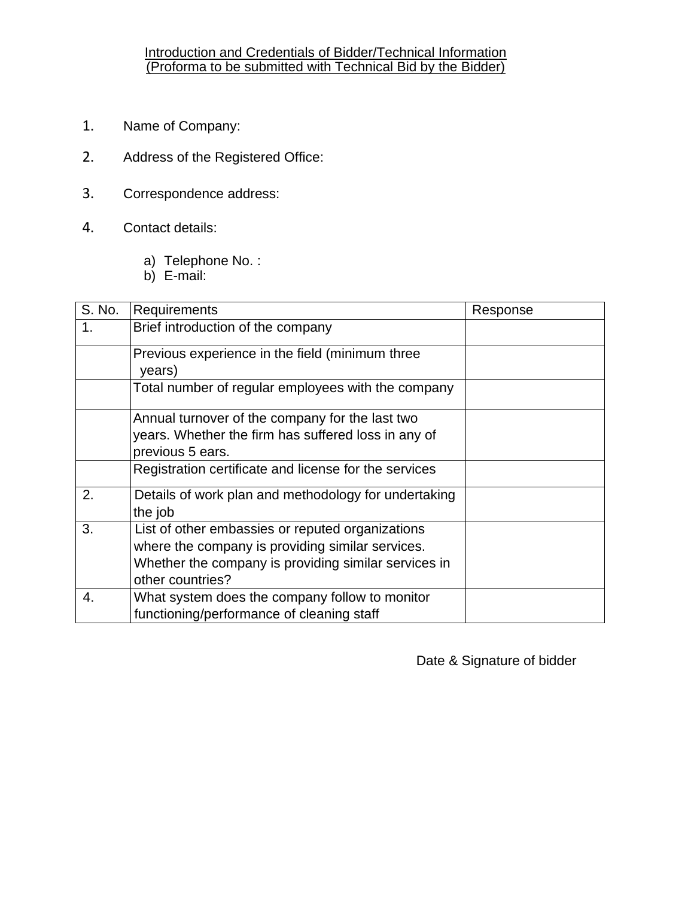#### Introduction and Credentials of Bidder/Technical Information (Proforma to be submitted with Technical Bid by the Bidder)

- 1. Name of Company:
- 2. Address of the Registered Office:
- 3. Correspondence address:
- 4. Contact details:
	- a) Telephone No. :
	- b) E-mail:

| S. No. | Requirements                                                                                                                                                                     | Response |
|--------|----------------------------------------------------------------------------------------------------------------------------------------------------------------------------------|----------|
| 1.     | Brief introduction of the company                                                                                                                                                |          |
|        | Previous experience in the field (minimum three<br>years)                                                                                                                        |          |
|        | Total number of regular employees with the company                                                                                                                               |          |
|        | Annual turnover of the company for the last two<br>years. Whether the firm has suffered loss in any of<br>previous 5 ears.                                                       |          |
|        | Registration certificate and license for the services                                                                                                                            |          |
| 2.     | Details of work plan and methodology for undertaking<br>the job                                                                                                                  |          |
| 3.     | List of other embassies or reputed organizations<br>where the company is providing similar services.<br>Whether the company is providing similar services in<br>other countries? |          |
| 4.     | What system does the company follow to monitor<br>functioning/performance of cleaning staff                                                                                      |          |

Date & Signature of bidder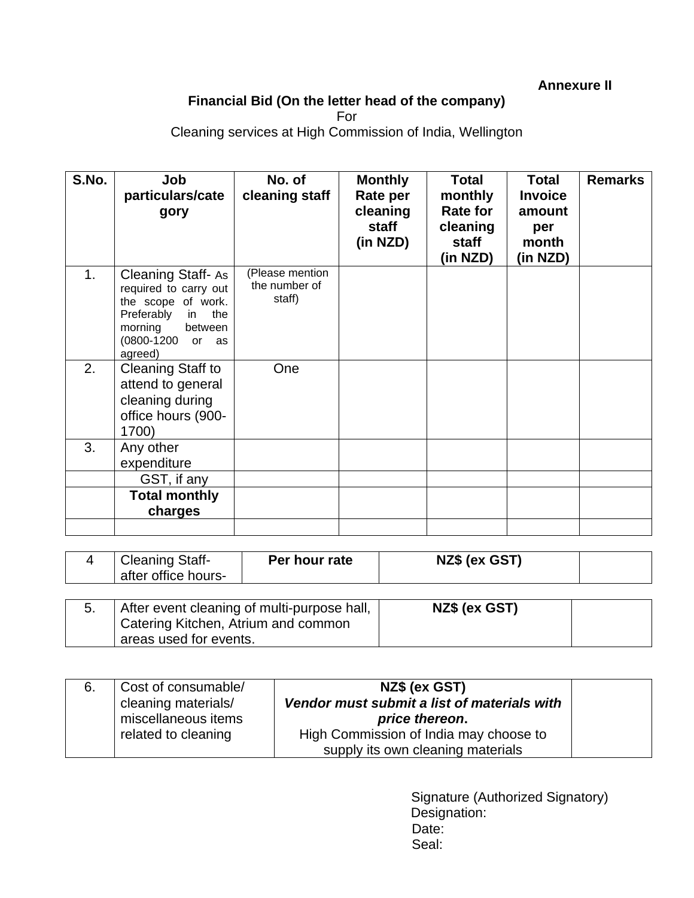**Annexure II** 

# **Financial Bid (On the letter head of the company)**

For

Cleaning services at High Commission of India, Wellington

| S.No. | Job<br>particulars/cate<br>gory                                                                                                                      | No. of<br>cleaning staff                   | <b>Monthly</b><br>Rate per<br>cleaning<br>staff<br>(in NZD) | <b>Total</b><br>monthly<br><b>Rate for</b><br>cleaning<br><b>staff</b><br>(in NZD) | <b>Total</b><br><b>Invoice</b><br>amount<br>per<br>month<br>(in NZD) | <b>Remarks</b> |
|-------|------------------------------------------------------------------------------------------------------------------------------------------------------|--------------------------------------------|-------------------------------------------------------------|------------------------------------------------------------------------------------|----------------------------------------------------------------------|----------------|
| 1.    | Cleaning Staff-As<br>required to carry out<br>the scope of work.<br>Preferably<br>the<br>in.<br>morning<br>between<br>(0800-1200 or<br>as<br>agreed) | (Please mention<br>the number of<br>staff) |                                                             |                                                                                    |                                                                      |                |
| 2.    | <b>Cleaning Staff to</b><br>attend to general<br>cleaning during<br>office hours (900-<br>1700)                                                      | One                                        |                                                             |                                                                                    |                                                                      |                |
| 3.    | Any other<br>expenditure                                                                                                                             |                                            |                                                             |                                                                                    |                                                                      |                |
|       | GST, if any                                                                                                                                          |                                            |                                                             |                                                                                    |                                                                      |                |
|       | <b>Total monthly</b><br>charges                                                                                                                      |                                            |                                                             |                                                                                    |                                                                      |                |
|       |                                                                                                                                                      |                                            |                                                             |                                                                                    |                                                                      |                |

|    | <b>Cleaning Staff-</b><br>after office hours-                 | Per hour rate                               | NZ\$ (ex GST) |  |
|----|---------------------------------------------------------------|---------------------------------------------|---------------|--|
| 5. |                                                               | After event cleaning of multi-purpose hall, | NZ\$ (ex GST) |  |
|    | Catering Kitchen, Atrium and common<br>areas used for events. |                                             |               |  |

| 6. | Cost of consumable/<br>cleaning materials/<br>miscellaneous items<br>related to cleaning | NZ\$ (ex GST)<br>Vendor must submit a list of materials with<br>price thereon.<br>High Commission of India may choose to |  |
|----|------------------------------------------------------------------------------------------|--------------------------------------------------------------------------------------------------------------------------|--|
|    |                                                                                          | supply its own cleaning materials                                                                                        |  |

Signature (Authorized Signatory) Designation: Date: Seal: